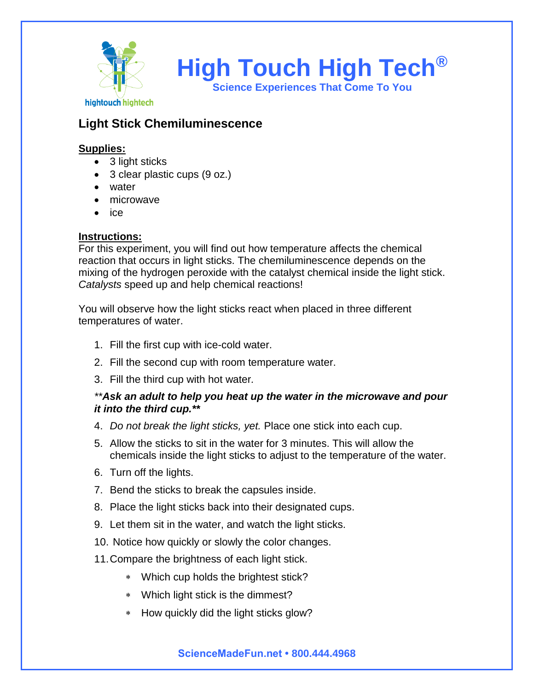

# **Light Stick Chemiluminescence**

## **Supplies:**

- 3 light sticks
- 3 clear plastic cups (9 oz.)
- water
- microwave
- ice

#### **Instructions:**

For this experiment, you will find out how temperature affects the chemical reaction that occurs in light sticks. The chemiluminescence depends on the mixing of the hydrogen peroxide with the catalyst chemical inside the light stick. *Catalysts* speed up and help chemical reactions!

You will observe how the light sticks react when placed in three different temperatures of water.

- 1. Fill the first cup with ice-cold water.
- 2. Fill the second cup with room temperature water.
- 3. Fill the third cup with hot water*.*

#### *\*\*Ask an adult to help you heat up the water in the microwave and pour it into the third cup.\*\**

- 4. *Do not break the light sticks, yet.* Place one stick into each cup.
- 5. Allow the sticks to sit in the water for 3 minutes. This will allow the chemicals inside the light sticks to adjust to the temperature of the water.
- 6. Turn off the lights.
- 7. Bend the sticks to break the capsules inside.
- 8. Place the light sticks back into their designated cups.
- 9. Let them sit in the water, and watch the light sticks.
- 10. Notice how quickly or slowly the color changes.
- 11.Compare the brightness of each light stick.
	- Which cup holds the brightest stick?
	- Which light stick is the dimmest?
	- \* How quickly did the light sticks glow?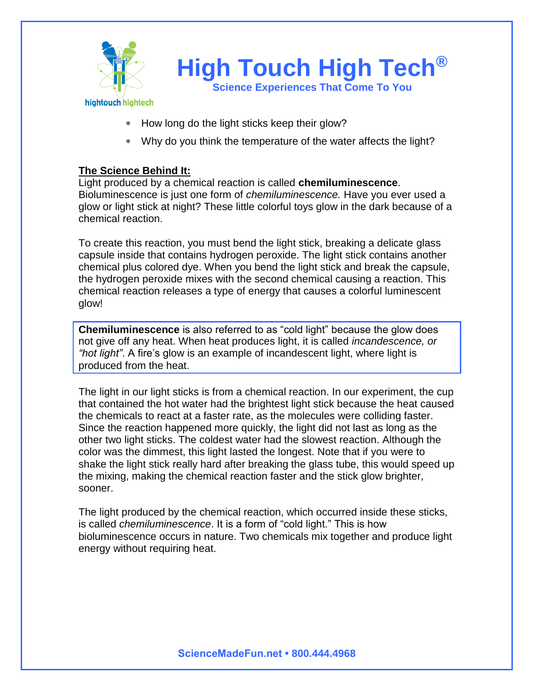

- \* How long do the light sticks keep their glow?
- Why do you think the temperature of the water affects the light?

#### **The Science Behind It:**

Light produced by a chemical reaction is called **chemiluminescence**. Bioluminescence is just one form of *chemiluminescence.* Have you ever used a glow or light stick at night? These little colorful toys glow in the dark because of a chemical reaction.

To create this reaction, you must bend the light stick, breaking a delicate glass capsule inside that contains hydrogen peroxide. The light stick contains another chemical plus colored dye. When you bend the light stick and break the capsule, the hydrogen peroxide mixes with the second chemical causing a reaction. This chemical reaction releases a type of energy that causes a colorful luminescent glow!

**Chemiluminescence** is also referred to as "cold light" because the glow does not give off any heat. When heat produces light, it is called *incandescence, or "hot light"*. A fire's glow is an example of incandescent light, where light is produced from the heat.

The light in our light sticks is from a chemical reaction. In our experiment, the cup that contained the hot water had the brightest light stick because the heat caused the chemicals to react at a faster rate, as the molecules were colliding faster. Since the reaction happened more quickly, the light did not last as long as the other two light sticks. The coldest water had the slowest reaction. Although the color was the dimmest, this light lasted the longest. Note that if you were to shake the light stick really hard after breaking the glass tube, this would speed up the mixing, making the chemical reaction faster and the stick glow brighter, sooner.

The light produced by the chemical reaction, which occurred inside these sticks, is called *chemiluminescence*. It is a form of "cold light." This is how bioluminescence occurs in nature. Two chemicals mix together and produce light energy without requiring heat.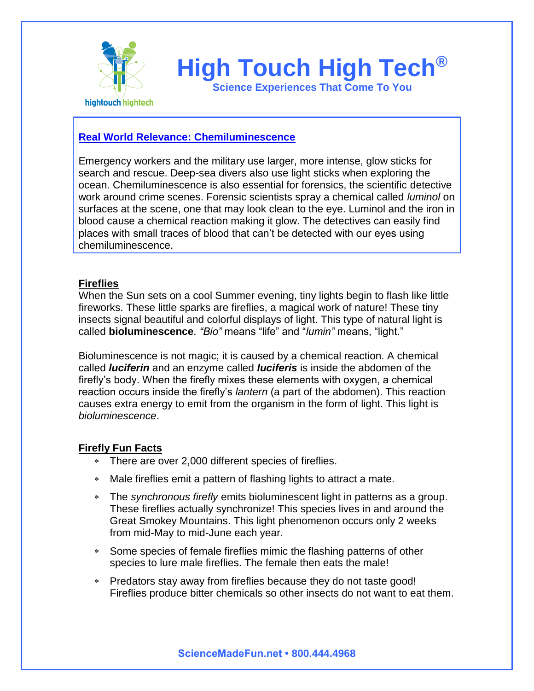

# **High Touch High Tech®**

**Science Experiences That Come To You**

## **Real World Relevance: Chemiluminescence**

Emergency workers and the military use larger, more intense, glow sticks for search and rescue. Deep-sea divers also use light sticks when exploring the ocean. Chemiluminescence is also essential for forensics, the scientific detective work around crime scenes. Forensic scientists spray a chemical called *luminol* on surfaces at the scene, one that may look clean to the eye. Luminol and the iron in blood cause a chemical reaction making it glow. The detectives can easily find places with small traces of blood that can't be detected with our eyes using chemiluminescence.

#### **Fireflies**

When the Sun sets on a cool Summer evening, tiny lights begin to flash like little fireworks. These little sparks are fireflies, a magical work of nature! These tiny insects signal beautiful and colorful displays of light. This type of natural light is called **bioluminescence***. "Bio"* means "life" and "*lumin"* means, "light."

Bioluminescence is not magic; it is caused by a chemical reaction. A chemical called *luciferin* and an enzyme called *luciferis* is inside the abdomen of the firefly's body. When the firefly mixes these elements with oxygen, a chemical reaction occurs inside the firefly's *lantern* (a part of the abdomen). This reaction causes extra energy to emit from the organism in the form of light. This light is *bioluminescence*.

#### **Firefly Fun Facts**

- There are over 2,000 different species of fireflies.
- Male fireflies emit a pattern of flashing lights to attract a mate.
- The *synchronous firefly* emits bioluminescent light in patterns as a group. These fireflies actually synchronize! This species lives in and around the Great Smokey Mountains. This light phenomenon occurs only 2 weeks from mid-May to mid-June each year.
- Some species of female fireflies mimic the flashing patterns of other species to lure male fireflies. The female then eats the male!
- Predators stay away from fireflies because they do not taste good! Fireflies produce bitter chemicals so other insects do not want to eat them.